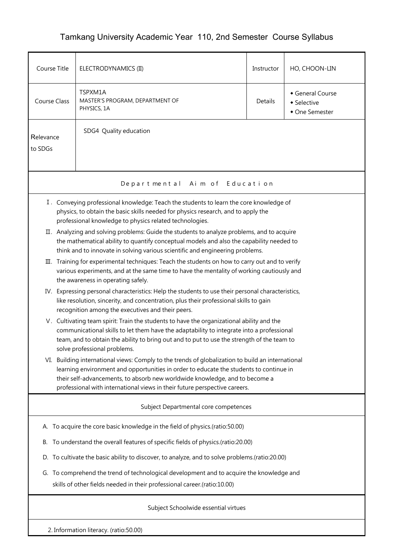## Tamkang University Academic Year 110, 2nd Semester Course Syllabus

| Course Title                                                                                                                                                                                                                                                                                                         | ELECTRODYNAMICS (II)                                                                                                                                                                                                                                                                                                                                     | Instructor | HO, CHOON-LIN                                   |  |  |  |  |  |  |
|----------------------------------------------------------------------------------------------------------------------------------------------------------------------------------------------------------------------------------------------------------------------------------------------------------------------|----------------------------------------------------------------------------------------------------------------------------------------------------------------------------------------------------------------------------------------------------------------------------------------------------------------------------------------------------------|------------|-------------------------------------------------|--|--|--|--|--|--|
| Course Class                                                                                                                                                                                                                                                                                                         | TSPXM1A<br>MASTER'S PROGRAM, DEPARTMENT OF<br>PHYSICS, 1A                                                                                                                                                                                                                                                                                                | Details    | General Course<br>• Selective<br>• One Semester |  |  |  |  |  |  |
| SDG4 Quality education<br>Relevance<br>to SDGs                                                                                                                                                                                                                                                                       |                                                                                                                                                                                                                                                                                                                                                          |            |                                                 |  |  |  |  |  |  |
|                                                                                                                                                                                                                                                                                                                      | Aim of Education<br>Depart ment al                                                                                                                                                                                                                                                                                                                       |            |                                                 |  |  |  |  |  |  |
| I. Conveying professional knowledge: Teach the students to learn the core knowledge of<br>physics, to obtain the basic skills needed for physics research, and to apply the<br>professional knowledge to physics related technologies.                                                                               |                                                                                                                                                                                                                                                                                                                                                          |            |                                                 |  |  |  |  |  |  |
|                                                                                                                                                                                                                                                                                                                      | II. Analyzing and solving problems: Guide the students to analyze problems, and to acquire<br>the mathematical ability to quantify conceptual models and also the capability needed to<br>think and to innovate in solving various scientific and engineering problems.                                                                                  |            |                                                 |  |  |  |  |  |  |
| III. Training for experimental techniques: Teach the students on how to carry out and to verify<br>various experiments, and at the same time to have the mentality of working cautiously and<br>the awareness in operating safely.                                                                                   |                                                                                                                                                                                                                                                                                                                                                          |            |                                                 |  |  |  |  |  |  |
| Expressing personal characteristics: Help the students to use their personal characteristics,<br>IV.<br>like resolution, sincerity, and concentration, plus their professional skills to gain<br>recognition among the executives and their peers.                                                                   |                                                                                                                                                                                                                                                                                                                                                          |            |                                                 |  |  |  |  |  |  |
| V. Cultivating team spirit: Train the students to have the organizational ability and the<br>communicational skills to let them have the adaptability to integrate into a professional<br>team, and to obtain the ability to bring out and to put to use the strength of the team to<br>solve professional problems. |                                                                                                                                                                                                                                                                                                                                                          |            |                                                 |  |  |  |  |  |  |
|                                                                                                                                                                                                                                                                                                                      | VI. Building international views: Comply to the trends of globalization to build an international<br>learning environment and opportunities in order to educate the students to continue in<br>their self-advancements, to absorb new worldwide knowledge, and to become a<br>professional with international views in their future perspective careers. |            |                                                 |  |  |  |  |  |  |
| Subject Departmental core competences                                                                                                                                                                                                                                                                                |                                                                                                                                                                                                                                                                                                                                                          |            |                                                 |  |  |  |  |  |  |
|                                                                                                                                                                                                                                                                                                                      | A. To acquire the core basic knowledge in the field of physics.(ratio:50.00)                                                                                                                                                                                                                                                                             |            |                                                 |  |  |  |  |  |  |
| В.                                                                                                                                                                                                                                                                                                                   | To understand the overall features of specific fields of physics.(ratio:20.00)                                                                                                                                                                                                                                                                           |            |                                                 |  |  |  |  |  |  |
| D. To cultivate the basic ability to discover, to analyze, and to solve problems.(ratio:20.00)                                                                                                                                                                                                                       |                                                                                                                                                                                                                                                                                                                                                          |            |                                                 |  |  |  |  |  |  |
|                                                                                                                                                                                                                                                                                                                      | G. To comprehend the trend of technological development and to acquire the knowledge and<br>skills of other fields needed in their professional career.(ratio:10.00)                                                                                                                                                                                     |            |                                                 |  |  |  |  |  |  |
| Subject Schoolwide essential virtues                                                                                                                                                                                                                                                                                 |                                                                                                                                                                                                                                                                                                                                                          |            |                                                 |  |  |  |  |  |  |
| 2. Information literacy. (ratio:50.00)                                                                                                                                                                                                                                                                               |                                                                                                                                                                                                                                                                                                                                                          |            |                                                 |  |  |  |  |  |  |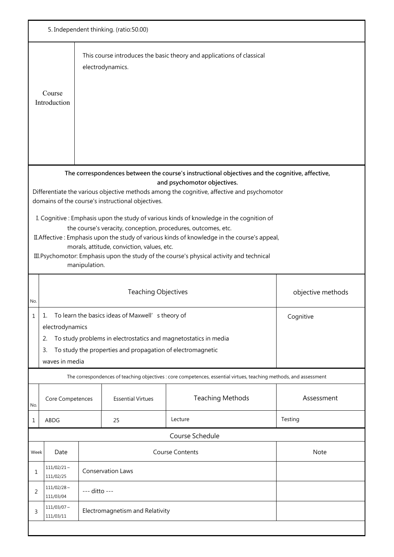| 5. Independent thinking. (ratio:50.00)                                                                                                                                                                                                                                                                                                                                                                                                                                                                                                                                                                                                                                                                    |                                                                                                                                                                                                                                                  |                                 |                            |                                                                                                                    |                   |  |
|-----------------------------------------------------------------------------------------------------------------------------------------------------------------------------------------------------------------------------------------------------------------------------------------------------------------------------------------------------------------------------------------------------------------------------------------------------------------------------------------------------------------------------------------------------------------------------------------------------------------------------------------------------------------------------------------------------------|--------------------------------------------------------------------------------------------------------------------------------------------------------------------------------------------------------------------------------------------------|---------------------------------|----------------------------|--------------------------------------------------------------------------------------------------------------------|-------------------|--|
|                                                                                                                                                                                                                                                                                                                                                                                                                                                                                                                                                                                                                                                                                                           | Course<br>Introduction                                                                                                                                                                                                                           |                                 | electrodynamics.           | This course introduces the basic theory and applications of classical                                              |                   |  |
| The correspondences between the course's instructional objectives and the cognitive, affective,<br>and psychomotor objectives.<br>Differentiate the various objective methods among the cognitive, affective and psychomotor<br>domains of the course's instructional objectives.<br>I. Cognitive: Emphasis upon the study of various kinds of knowledge in the cognition of<br>the course's veracity, conception, procedures, outcomes, etc.<br>II. Affective: Emphasis upon the study of various kinds of knowledge in the course's appeal,<br>morals, attitude, conviction, values, etc.<br>III. Psychomotor: Emphasis upon the study of the course's physical activity and technical<br>manipulation. |                                                                                                                                                                                                                                                  |                                 |                            |                                                                                                                    |                   |  |
| No.                                                                                                                                                                                                                                                                                                                                                                                                                                                                                                                                                                                                                                                                                                       |                                                                                                                                                                                                                                                  |                                 | <b>Teaching Objectives</b> |                                                                                                                    | objective methods |  |
| Ŧ                                                                                                                                                                                                                                                                                                                                                                                                                                                                                                                                                                                                                                                                                                         | To learn the basics ideas of Maxwell' s theory of<br>Cognitive<br>electrodynamics<br>To study problems in electrostatics and magnetostatics in media<br>2.<br>To study the properties and propagation of electromagnetic<br>3.<br>waves in media |                                 |                            |                                                                                                                    |                   |  |
|                                                                                                                                                                                                                                                                                                                                                                                                                                                                                                                                                                                                                                                                                                           |                                                                                                                                                                                                                                                  |                                 |                            | The correspondences of teaching objectives : core competences, essential virtues, teaching methods, and assessment |                   |  |
| No.                                                                                                                                                                                                                                                                                                                                                                                                                                                                                                                                                                                                                                                                                                       | Core Competences                                                                                                                                                                                                                                 |                                 | <b>Essential Virtues</b>   | <b>Teaching Methods</b>                                                                                            | Assessment        |  |
| 1                                                                                                                                                                                                                                                                                                                                                                                                                                                                                                                                                                                                                                                                                                         | ABDG                                                                                                                                                                                                                                             |                                 | 25                         | Lecture                                                                                                            | Testing           |  |
|                                                                                                                                                                                                                                                                                                                                                                                                                                                                                                                                                                                                                                                                                                           |                                                                                                                                                                                                                                                  |                                 |                            | Course Schedule                                                                                                    |                   |  |
| Week                                                                                                                                                                                                                                                                                                                                                                                                                                                                                                                                                                                                                                                                                                      | Date                                                                                                                                                                                                                                             |                                 |                            | <b>Course Contents</b>                                                                                             | Note              |  |
| 1                                                                                                                                                                                                                                                                                                                                                                                                                                                                                                                                                                                                                                                                                                         | $111/02/21 \sim$<br>111/02/25                                                                                                                                                                                                                    | Conservation Laws               |                            |                                                                                                                    |                   |  |
| 2                                                                                                                                                                                                                                                                                                                                                                                                                                                                                                                                                                                                                                                                                                         | $111/02/28$ ~<br>111/03/04                                                                                                                                                                                                                       | --- ditto ---                   |                            |                                                                                                                    |                   |  |
| 3                                                                                                                                                                                                                                                                                                                                                                                                                                                                                                                                                                                                                                                                                                         | $111/03/07 \sim$<br>111/03/11                                                                                                                                                                                                                    | Electromagnetism and Relativity |                            |                                                                                                                    |                   |  |
|                                                                                                                                                                                                                                                                                                                                                                                                                                                                                                                                                                                                                                                                                                           |                                                                                                                                                                                                                                                  |                                 |                            |                                                                                                                    |                   |  |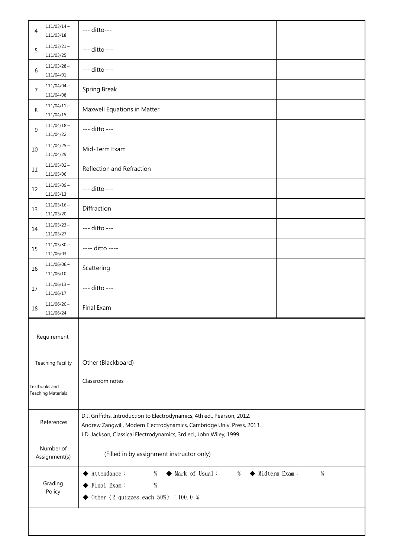| 4                                          | $111/03/14 \sim$<br>111/03/18 | --- ditto---                                                                                                                                                                                                             |  |  |
|--------------------------------------------|-------------------------------|--------------------------------------------------------------------------------------------------------------------------------------------------------------------------------------------------------------------------|--|--|
| 5                                          | $111/03/21$ ~<br>111/03/25    | --- ditto ---                                                                                                                                                                                                            |  |  |
| 6                                          | $111/03/28$ ~<br>111/04/01    | --- ditto ---                                                                                                                                                                                                            |  |  |
| 7                                          | $111/04/04 \sim$<br>111/04/08 | Spring Break                                                                                                                                                                                                             |  |  |
| 8                                          | $111/04/11 \sim$<br>111/04/15 | Maxwell Equations in Matter                                                                                                                                                                                              |  |  |
| 9                                          | $111/04/18 \sim$<br>111/04/22 | --- ditto ---                                                                                                                                                                                                            |  |  |
| 10                                         | $111/04/25$ ~<br>111/04/29    | Mid-Term Exam                                                                                                                                                                                                            |  |  |
| 11                                         | $111/05/02 \sim$<br>111/05/06 | Reflection and Refraction                                                                                                                                                                                                |  |  |
| 12                                         | $111/05/09$ ~<br>111/05/13    | --- ditto ---                                                                                                                                                                                                            |  |  |
| 13                                         | $111/05/16$ ~<br>111/05/20    | Diffraction                                                                                                                                                                                                              |  |  |
| 14                                         | $111/05/23$ ~<br>111/05/27    | --- ditto ---                                                                                                                                                                                                            |  |  |
| 15                                         | $111/05/30$ ~<br>111/06/03    | ---- ditto ----                                                                                                                                                                                                          |  |  |
| 16                                         | $111/06/06$ ~<br>111/06/10    | Scattering                                                                                                                                                                                                               |  |  |
| 17                                         | $111/06/13$ ~<br>111/06/17    | --- ditto ---                                                                                                                                                                                                            |  |  |
| 18                                         | $111/06/20 \sim$<br>111/06/24 | Final Exam                                                                                                                                                                                                               |  |  |
|                                            | Requirement                   |                                                                                                                                                                                                                          |  |  |
|                                            | <b>Teaching Facility</b>      | Other (Blackboard)                                                                                                                                                                                                       |  |  |
| Textbooks and<br><b>Teaching Materials</b> |                               | Classroom notes                                                                                                                                                                                                          |  |  |
| References                                 |                               | D.J. Griffiths, Introduction to Electrodynamics, 4th ed., Pearson, 2012.<br>Andrew Zangwill, Modern Electrodynamics, Cambridge Univ. Press, 2013.<br>J.D. Jackson, Classical Electrodynamics, 3rd ed., John Wiley, 1999. |  |  |
| Number of<br>Assignment(s)                 |                               | (Filled in by assignment instructor only)                                                                                                                                                                                |  |  |
| Grading<br>Policy                          |                               | ◆ Midterm Exam:<br>$\%$<br>Attendance:<br>$\%$<br>Mark of Usual:<br>$\%$<br>$\%$<br>Final Exam:<br>Other $\langle 2 \text{ quizzes, each } 50\% \rangle : 100.0 \%$                                                      |  |  |
|                                            |                               |                                                                                                                                                                                                                          |  |  |